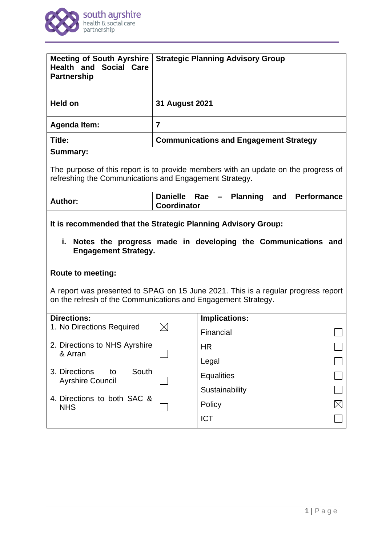

| <b>Meeting of South Ayrshire</b><br><b>Health and Social Care</b><br><b>Partnership</b>                                                                                                        |                                       | <b>Strategic Planning Advisory Group</b>                      |             |
|------------------------------------------------------------------------------------------------------------------------------------------------------------------------------------------------|---------------------------------------|---------------------------------------------------------------|-------------|
| Held on                                                                                                                                                                                        | <b>31 August 2021</b>                 |                                                               |             |
| <b>Agenda Item:</b>                                                                                                                                                                            | $\overline{7}$                        |                                                               |             |
| Title:                                                                                                                                                                                         |                                       | <b>Communications and Engagement Strategy</b>                 |             |
| <b>Summary:</b>                                                                                                                                                                                |                                       |                                                               |             |
| The purpose of this report is to provide members with an update on the progress of<br>refreshing the Communications and Engagement Strategy.                                                   |                                       |                                                               |             |
| <b>Author:</b>                                                                                                                                                                                 | <b>Danielle</b><br><b>Coordinator</b> | <b>Performance</b><br>Rae<br><b>Planning</b><br>and<br>$\sim$ |             |
| It is recommended that the Strategic Planning Advisory Group:<br>i.<br>Notes the progress made in developing the Communications and<br><b>Engagement Strategy.</b><br><b>Route to meeting:</b> |                                       |                                                               |             |
| A report was presented to SPAG on 15 June 2021. This is a regular progress report<br>on the refresh of the Communications and Engagement Strategy.                                             |                                       |                                                               |             |
| <b>Directions:</b><br>1. No Directions Required                                                                                                                                                |                                       | Implications:                                                 |             |
|                                                                                                                                                                                                |                                       | Financial                                                     |             |
| 2. Directions to NHS Ayrshire<br>& Arran                                                                                                                                                       |                                       | <b>HR</b>                                                     |             |
|                                                                                                                                                                                                |                                       | Legal                                                         |             |
| South<br>3. Directions<br>to<br><b>Ayrshire Council</b>                                                                                                                                        |                                       | <b>Equalities</b>                                             |             |
|                                                                                                                                                                                                |                                       | Sustainability                                                |             |
| 4. Directions to both SAC &<br><b>NHS</b>                                                                                                                                                      |                                       | Policy                                                        | $\boxtimes$ |
|                                                                                                                                                                                                |                                       | <b>ICT</b>                                                    |             |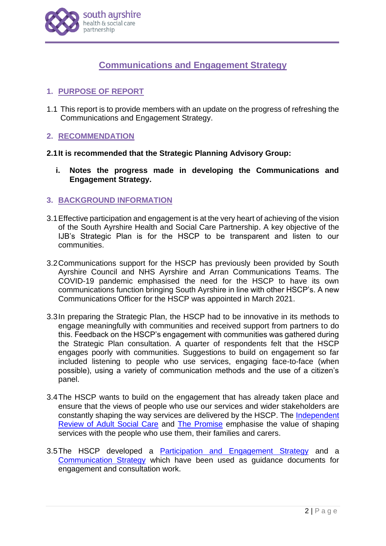

# **Communications and Engagement Strategy**

# **1. PURPOSE OF REPORT**

1.1 This report is to provide members with an update on the progress of refreshing the Communications and Engagement Strategy.

# **2. RECOMMENDATION**

## **2.1It is recommended that the Strategic Planning Advisory Group:**

**i. Notes the progress made in developing the Communications and Engagement Strategy.**

## **3. BACKGROUND INFORMATION**

- 3.1Effective participation and engagement is at the very heart of achieving of the vision of the South Ayrshire Health and Social Care Partnership. A key objective of the IJB's Strategic Plan is for the HSCP to be transparent and listen to our communities.
- 3.2Communications support for the HSCP has previously been provided by South Ayrshire Council and NHS Ayrshire and Arran Communications Teams. The COVID-19 pandemic emphasised the need for the HSCP to have its own communications function bringing South Ayrshire in line with other HSCP's. A new Communications Officer for the HSCP was appointed in March 2021.
- 3.3In preparing the Strategic Plan, the HSCP had to be innovative in its methods to engage meaningfully with communities and received support from partners to do this. Feedback on the HSCP's engagement with communities was gathered during the Strategic Plan consultation. A quarter of respondents felt that the HSCP engages poorly with communities. Suggestions to build on engagement so far included listening to people who use services, engaging face-to-face (when possible), using a variety of communication methods and the use of a citizen's panel.
- 3.4The HSCP wants to build on the engagement that has already taken place and ensure that the views of people who use our services and wider stakeholders are constantly shaping the way services are delivered by the HSCP. The [Independent](https://www.gov.scot/groups/independent-review-of-adult-social-care/)  [Review of Adult Social Care](https://www.gov.scot/groups/independent-review-of-adult-social-care/) and [The Promise](https://thepromise.scot/) emphasise the value of shaping services with the people who use them, their families and carers.
- 3.5The HSCP developed a [Participation and Engagement Strategy](https://www.south-ayrshire.gov.uk/health-social-care-partnership/documents/SA50614_SOUTH%20AYRSHIRE%20HEALTH_ENGAGEMENT%20STRATEGY%20Digital%20PDF_Fin%203.pdf) and a [Communication Strategy](https://www.south-ayrshire.gov.uk/health-social-care-partnership/documents/Final%20Communication%20Strategy%20and%20Plan.pdf) which have been used as guidance documents for engagement and consultation work.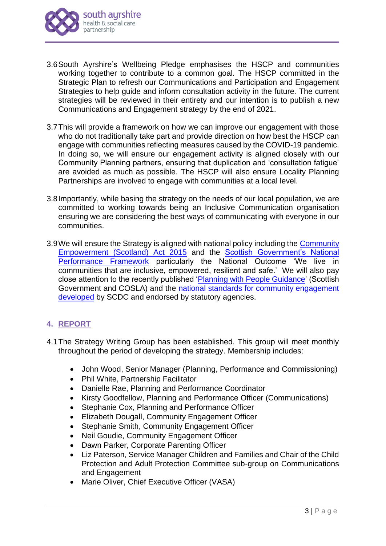

- 3.6South Ayrshire's Wellbeing Pledge emphasises the HSCP and communities working together to contribute to a common goal. The HSCP committed in the Strategic Plan to refresh our Communications and Participation and Engagement Strategies to help guide and inform consultation activity in the future. The current strategies will be reviewed in their entirety and our intention is to publish a new Communications and Engagement strategy by the end of 2021.
- 3.7This will provide a framework on how we can improve our engagement with those who do not traditionally take part and provide direction on how best the HSCP can engage with communities reflecting measures caused by the COVID-19 pandemic. In doing so, we will ensure our engagement activity is aligned closely with our Community Planning partners, ensuring that duplication and 'consultation fatigue' are avoided as much as possible. The HSCP will also ensure Locality Planning Partnerships are involved to engage with communities at a local level.
- 3.8Importantly, while basing the strategy on the needs of our local population, we are committed to working towards being an Inclusive Communication organisation ensuring we are considering the best ways of communicating with everyone in our communities.
- 3.9We will ensure the Strategy is aligned with national policy including the [Community](https://www.gov.scot/policies/community-empowerment/)  [Empowerment \(Scotland\) Act 2015](https://www.gov.scot/policies/community-empowerment/) and the [Scottish Government's National](https://nationalperformance.gov.scot/national-outcomes/communities)  [Performance Framework](https://nationalperformance.gov.scot/national-outcomes/communities) particularly the National Outcome 'We live in communities that are inclusive, empowered, resilient and safe.' We will also pay close attention to the recently published ['Planning with People Guidance'](https://www.gov.scot/publications/planning-people/pages/2/) (Scottish Government and COSLA) and the [national standards for community engagement](https://www.scdc.org.uk/what/national-standards)  [developed](https://www.scdc.org.uk/what/national-standards) by SCDC and endorsed by statutory agencies.

# **4. REPORT**

- 4.1The Strategy Writing Group has been established. This group will meet monthly throughout the period of developing the strategy. Membership includes:
	- John Wood, Senior Manager (Planning, Performance and Commissioning)
	- Phil White, Partnership Facilitator
	- Danielle Rae, Planning and Performance Coordinator
	- Kirsty Goodfellow, Planning and Performance Officer (Communications)
	- Stephanie Cox, Planning and Performance Officer
	- Elizabeth Dougall, Community Engagement Officer
	- Stephanie Smith, Community Engagement Officer
	- Neil Goudie, Community Engagement Officer
	- Dawn Parker, Corporate Parenting Officer
	- Liz Paterson, Service Manager Children and Families and Chair of the Child Protection and Adult Protection Committee sub-group on Communications and Engagement
	- Marie Oliver, Chief Executive Officer (VASA)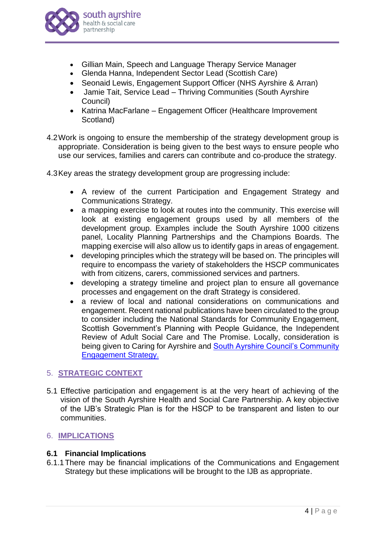

- Gillian Main, Speech and Language Therapy Service Manager
- Glenda Hanna, Independent Sector Lead (Scottish Care)
- Seonaid Lewis, Engagement Support Officer (NHS Ayrshire & Arran)
- Jamie Tait, Service Lead Thriving Communities (South Ayrshire Council)
- Katrina MacFarlane Engagement Officer (Healthcare Improvement Scotland)
- 4.2Work is ongoing to ensure the membership of the strategy development group is appropriate. Consideration is being given to the best ways to ensure people who use our services, families and carers can contribute and co-produce the strategy.
- 4.3Key areas the strategy development group are progressing include:
	- A review of the current Participation and Engagement Strategy and Communications Strategy.
	- a mapping exercise to look at routes into the community. This exercise will look at existing engagement groups used by all members of the development group. Examples include the South Ayrshire 1000 citizens panel, Locality Planning Partnerships and the Champions Boards. The mapping exercise will also allow us to identify gaps in areas of engagement.
	- developing principles which the strategy will be based on. The principles will require to encompass the variety of stakeholders the HSCP communicates with from citizens, carers, commissioned services and partners.
	- developing a strategy timeline and project plan to ensure all governance processes and engagement on the draft Strategy is considered.
	- a review of local and national considerations on communications and engagement. Recent national publications have been circulated to the group to consider including the National Standards for Community Engagement, Scottish Government's Planning with People Guidance, the Independent Review of Adult Social Care and The Promise. Locally, consideration is being given to Caring for Ayrshire and [South Ayrshire Council's Community](https://www.south-ayrshire.gov.uk/community-learning-development/documents/sac%20community%20engagement%20strategy%20-%20final%20nov%202020.pdf)  [Engagement Strategy.](https://www.south-ayrshire.gov.uk/community-learning-development/documents/sac%20community%20engagement%20strategy%20-%20final%20nov%202020.pdf)

# 5. **STRATEGIC CONTEXT**

5.1 Effective participation and engagement is at the very heart of achieving of the vision of the South Ayrshire Health and Social Care Partnership. A key objective of the IJB's Strategic Plan is for the HSCP to be transparent and listen to our communities.

# 6. **IMPLICATIONS**

## **6.1 Financial Implications**

6.1.1There may be financial implications of the Communications and Engagement Strategy but these implications will be brought to the IJB as appropriate.